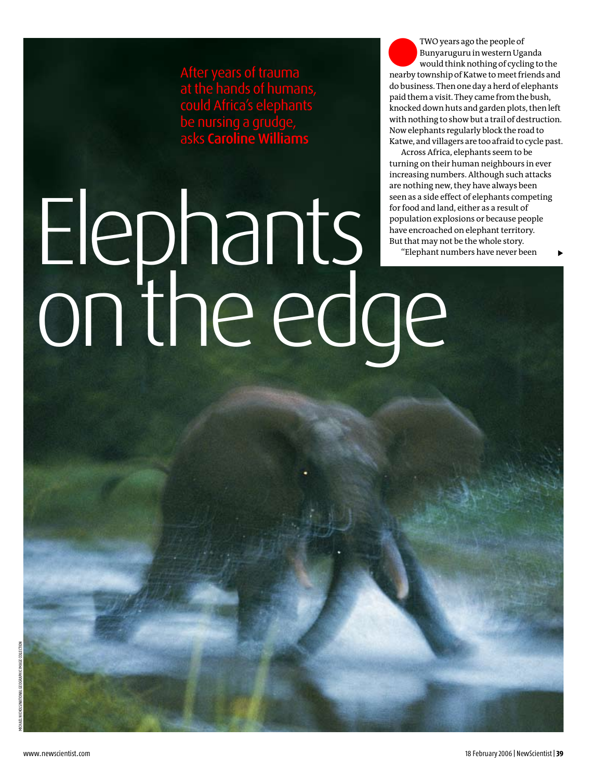After years of trauma at the hands of humans, could Africa's elephants be nursing a grudge, asks Caroline Williams

lTWO years ago the people of would think nothing of cycling to the Bunyaruguru in western Uganda nearby township of Katwe to meet friends and do business. Then one day a herd of elephants paid them a visit. They came from the bush, knocked down huts and garden plots, then left with nothing to show but a trail of destruction. Now elephants regularly block the road to Katwe, and villagers are too afraid to cycle past.

Across Africa, elephants seem to be turning on their human neighbours in ever increasing numbers. Although such attacks are nothing new, they have always been seen as a side effect of elephants competing for food and land, either as a result of population explosions or because people have encroached on elephant territory. But that may not be the whole story.

"Elephant numbers have never been

## Elephants on the edge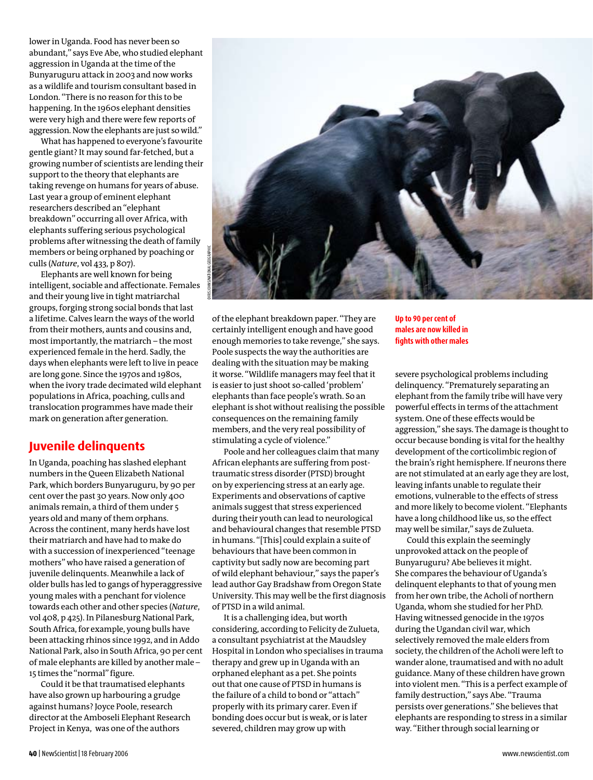lower in Uganda. Food has never been so abundant," says Eve Abe, who studied elephant aggression in Uganda at the time of the Bunyaruguru attack in 2003 and now works as a wildlife and tourism consultant based in London. "There is no reason for this to be happening. In the 1960s elephant densities were very high and there were few reports of aggression. Now the elephants are just so wild."

What has happened to everyone's favourite gentle giant? It may sound far-fetched, but a growing number of scientists are lending their support to the theory that elephants are taking revenge on humans for years of abuse. Last year a group of eminent elephant researchers described an "elephant breakdown" occurring all over Africa, with elephants suffering serious psychological problems after witnessing the death of family members or being orphaned by poaching or culls (*Nature*, vol 433, p 807).

Elephants are well known for being intelligent, sociable and affectionate. Females and their young live in tight matriarchal groups, forging strong social bonds that last a lifetime. Calves learn the ways of the world from their mothers, aunts and cousins and, most importantly, the matriarch – the most experienced female in the herd. Sadly, the days when elephants were left to live in peace are long gone. Since the 1970s and 1980s, when the ivory trade decimated wild elephant populations in Africa, poaching, culls and translocation programmes have made their mark on generation after generation.

## **Juvenile delinquents**

In Uganda, poaching has slashed elephant numbers in the Queen Elizabeth National Park, which borders Bunyaruguru, by 90 per cent over the past 30 years. Now only 400 animals remain, a third of them under 5 years old and many of them orphans. Across the continent, many herds have lost their matriarch and have had to make do with a succession of inexperienced "teenage mothers" who have raised a generation of juvenile delinquents. Meanwhile a lack of older bulls has led to gangs of hyperaggressive young males with a penchant for violence towards each other and other species (*Nature*, vol 408, p 425). In Pilanesburg National Park, South Africa, for example, young bulls have been attacking rhinos since 1992, and in Addo National Park, also in South Africa, 90 per cent of male elephants are killed by another male – 15 times the "normal" figure.

Could it be that traumatised elephants have also grown up harbouring a grudge against humans? Joyce Poole, research director at the Amboseli Elephant Research Project in Kenya, was one of the authors



of the elephant breakdown paper. "They are certainly intelligent enough and have good enough memories to take revenge," she says. Poole suspects the way the authorities are dealing with the situation may be making it worse. "Wildlife managers may feel that it is easier to just shoot so-called 'problem' elephants than face people's wrath. So an elephant is shot without realising the possible consequences on the remaining family members, and the very real possibility of stimulating a cycle of violence."

Poole and her colleagues claim that many African elephants are suffering from posttraumatic stress disorder (PTSD) brought on by experiencing stress at an early age. Experiments and observations of captive animals suggest that stress experienced during their youth can lead to neurological and behavioural changes that resemble PTSD in humans. "[This] could explain a suite of behaviours that have been common in captivity but sadly now are becoming part of wild elephant behaviour," says the paper's lead author Gay Bradshaw from Oregon State University. This may well be the first diagnosis of PTSD in a wild animal.

It is a challenging idea, but worth considering, according to Felicity de Zulueta, a consultant psychiatrist at the Maudsley Hospital in London who specialises in trauma therapy and grew up in Uganda with an orphaned elephant as a pet. She points out that one cause of PTSD in humans is the failure of a child to bond or "attach" properly with its primary carer. Even if bonding does occur but is weak, or is later severed, children may grow up with

**Up to 90 per cent of males are now killed in fights with other males**

severe psychological problems including delinquency. "Prematurely separating an elephant from the family tribe will have very powerful effects in terms of the attachment system. One of these effects would be aggression," she says. The damage is thought to occur because bonding is vital for the healthy development of the corticolimbic region of the brain's right hemisphere. If neurons there are not stimulated at an early age they are lost, leaving infants unable to regulate their emotions, vulnerable to the effects of stress and more likely to become violent. "Elephants have a long childhood like us, so the effect may well be similar," says de Zulueta.

Could this explain the seemingly unprovoked attack on the people of Bunyaruguru? Abe believes it might. She compares the behaviour of Uganda's delinquent elephants to that of young men from her own tribe, the Acholi of northern Uganda, whom she studied for her PhD. Having witnessed genocide in the 1970s during the Ugandan civil war, which selectively removed the male elders from society, the children of the Acholi were left to wander alone, traumatised and with no adult guidance. Many of these children have grown into violent men. "This is a perfect example of family destruction," says Abe. "Trauma persists over generations." She believes that elephants are responding to stress in a similar way. "Either through social learning or